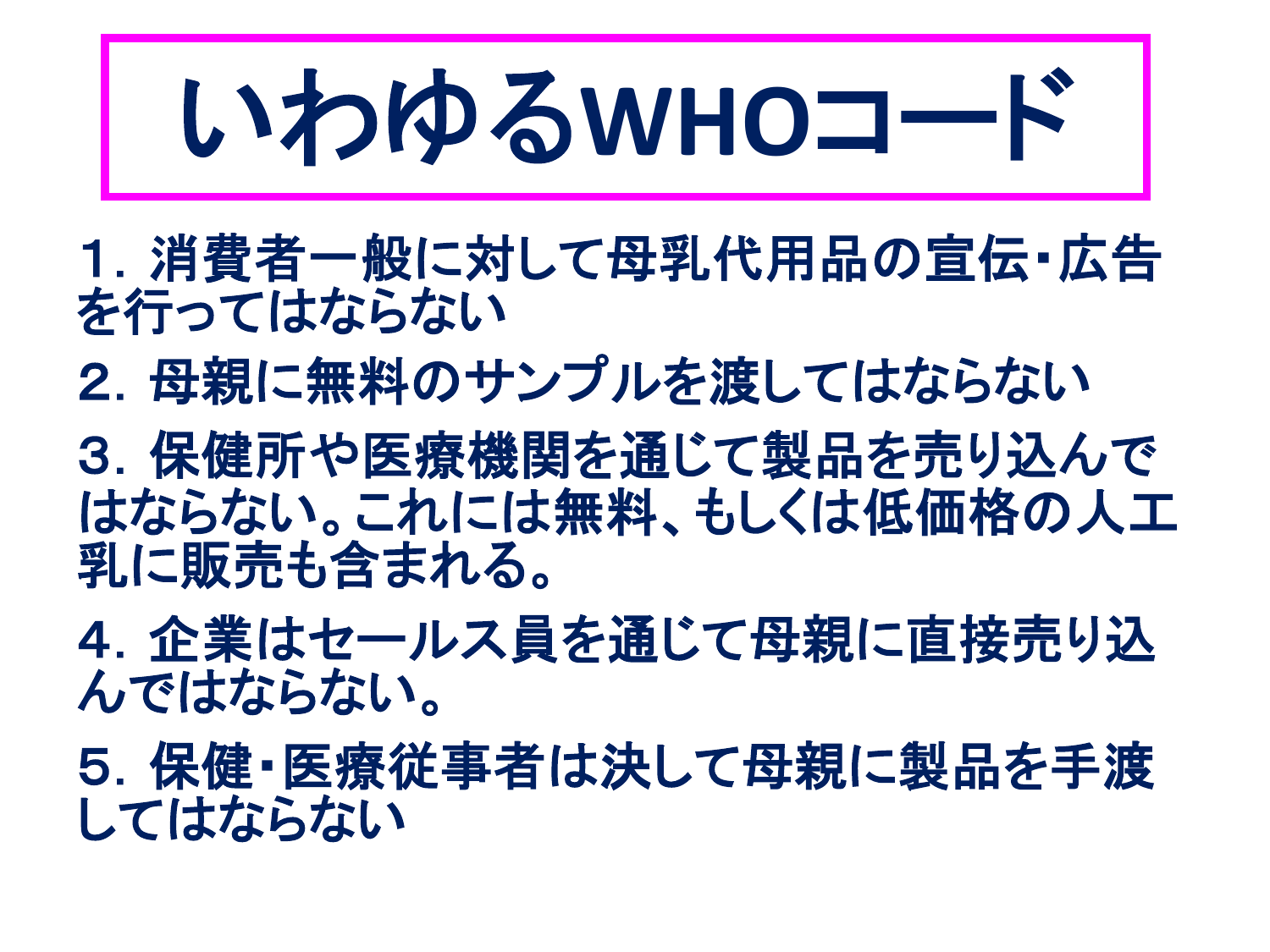# いわゆる**WHO**コード

1. 消費者一般に対して母乳代用品の宣伝・広告 を行ってはならない

2. 母親に無料のサンプルを渡してはならない

3.保健所や医療機関を通じて製品を売り込んで はならない。これには無料、もしくは低価格の人工 乳に販売も含まれる。

4.企業はセールス員を通じて母親に直接売り込 んではならない。

5.保健・医療従事者は決して母親に製品を手渡 してはならない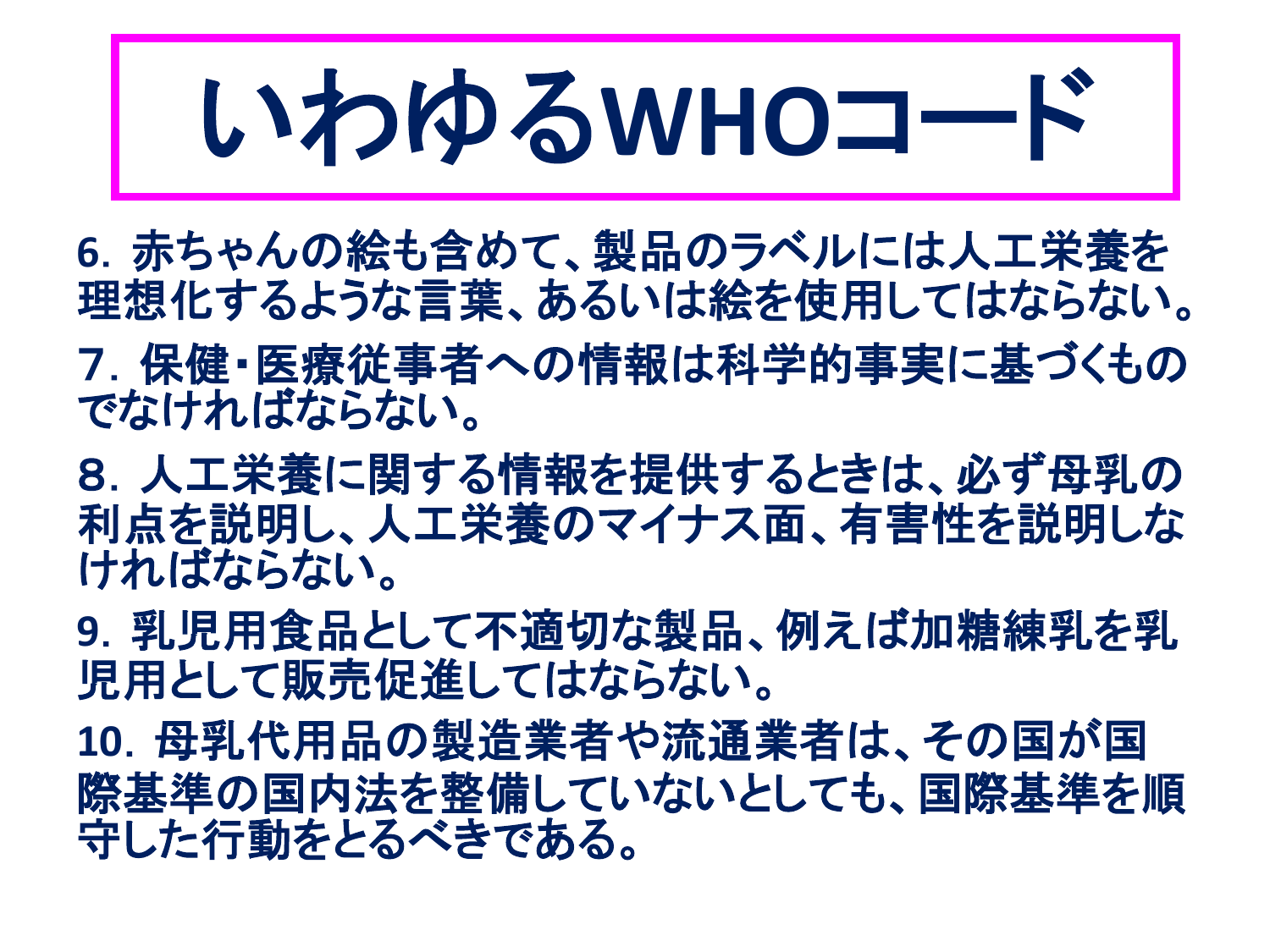## いわゆる**WHO**コード

**6**.赤ちゃんの絵も含めて、製品のラベルには人工栄養を 理想化するような言葉、あるいは絵を使用してはならない。 7.保健・医療従事者への情報は科学的事実に基づくもの でなければならない。

8.人工栄養に関する情報を提供するときは、必ず母乳の 利点を説明し、人工栄養のマイナス面、有害性を説明しな ければならない。

**9**.乳児用食品として不適切な製品、例えば加糖練乳を乳 児用として販売促進してはならない。

**10**.母乳代用品の製造業者や流通業者は、その国が国 際基準の国内法を整備していないとしても、国際基準を順 守した行動をとるべきである。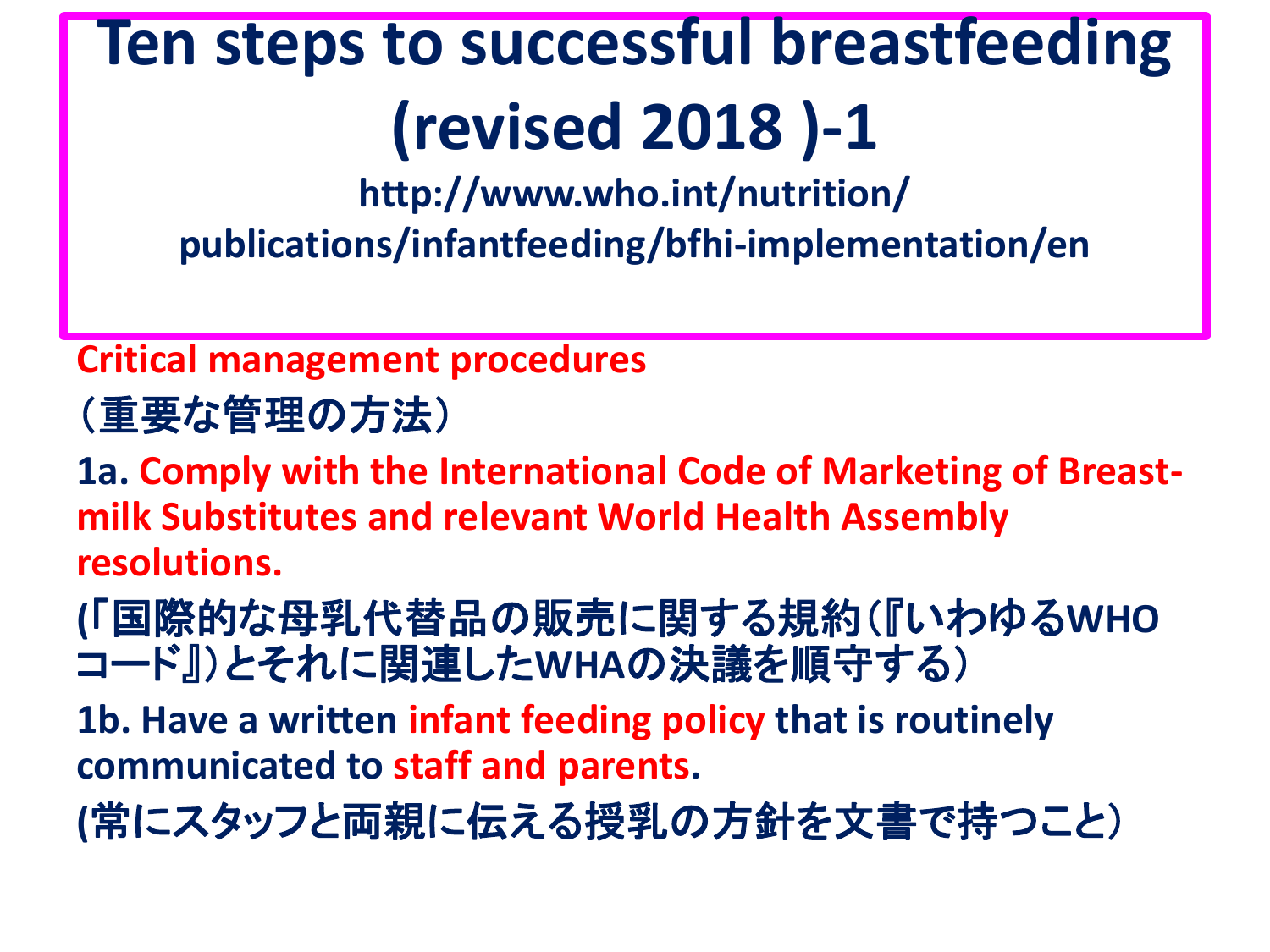**http://www.who.int/nutrition/ publications/infantfeeding/bfhi-implementation/en**

#### **Critical management procedures**

(重要な管理の方法)

**1a. Comply with the International Code of Marketing of Breastmilk Substitutes and relevant World Health Assembly resolutions.**

**(**「国際的な母乳代替品の販売に関する規約(『いわゆる**WHO** コード』)とそれに関連した**WHA**の決議を順守する)

**1b. Have a written infant feeding policy that is routinely communicated to staff and parents.**

**(**常にスタッフと両親に伝える授乳の方針を文書で持つこと)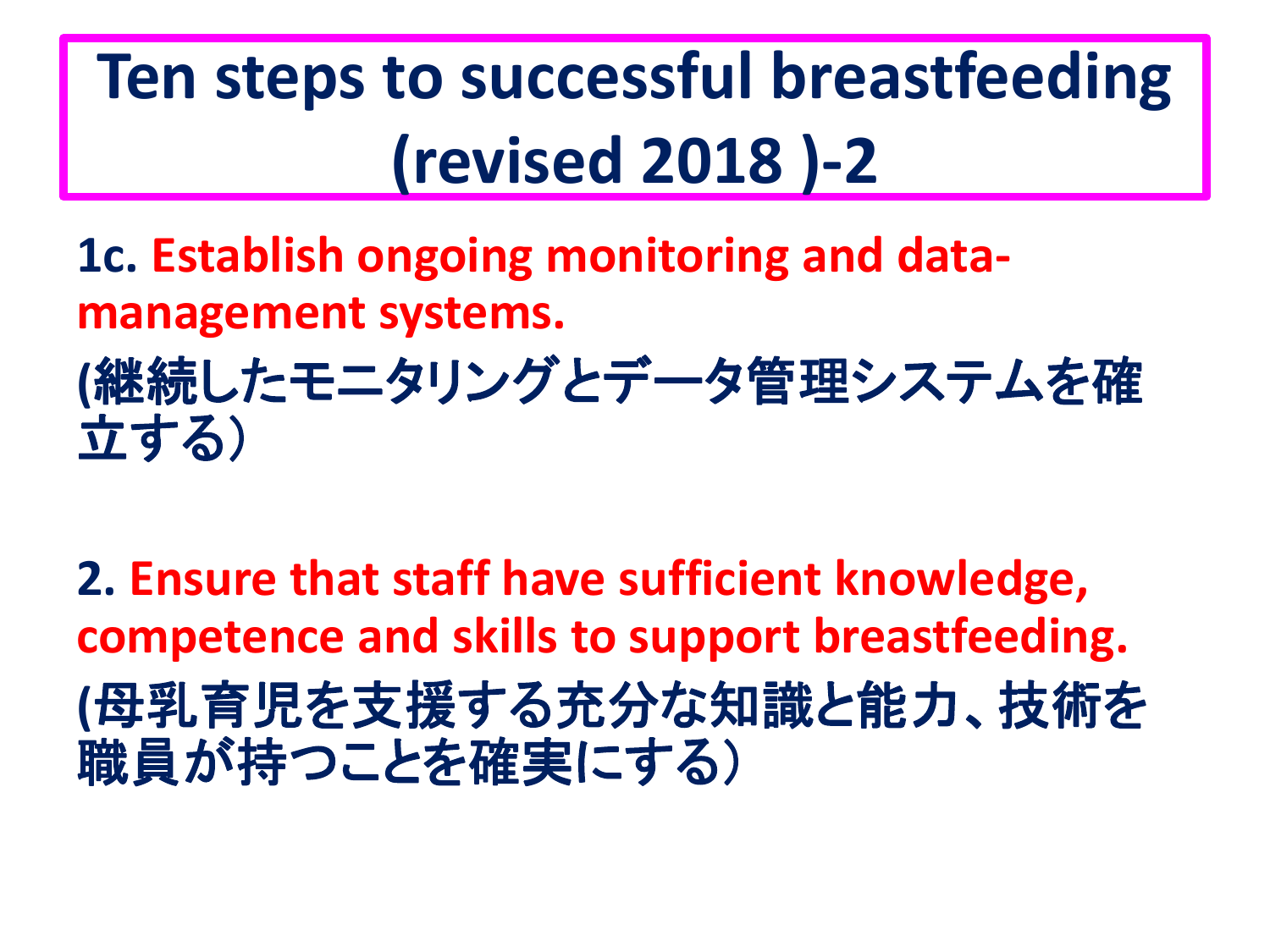**1c. Establish ongoing monitoring and datamanagement systems.**

**(**継続したモニタリングとデータ管理システムを確 立する)

**2. Ensure that staff have sufficient knowledge, competence and skills to support breastfeeding. (**母乳育児を支援する充分な知識と能力、技術を 職員が持つことを確実にする)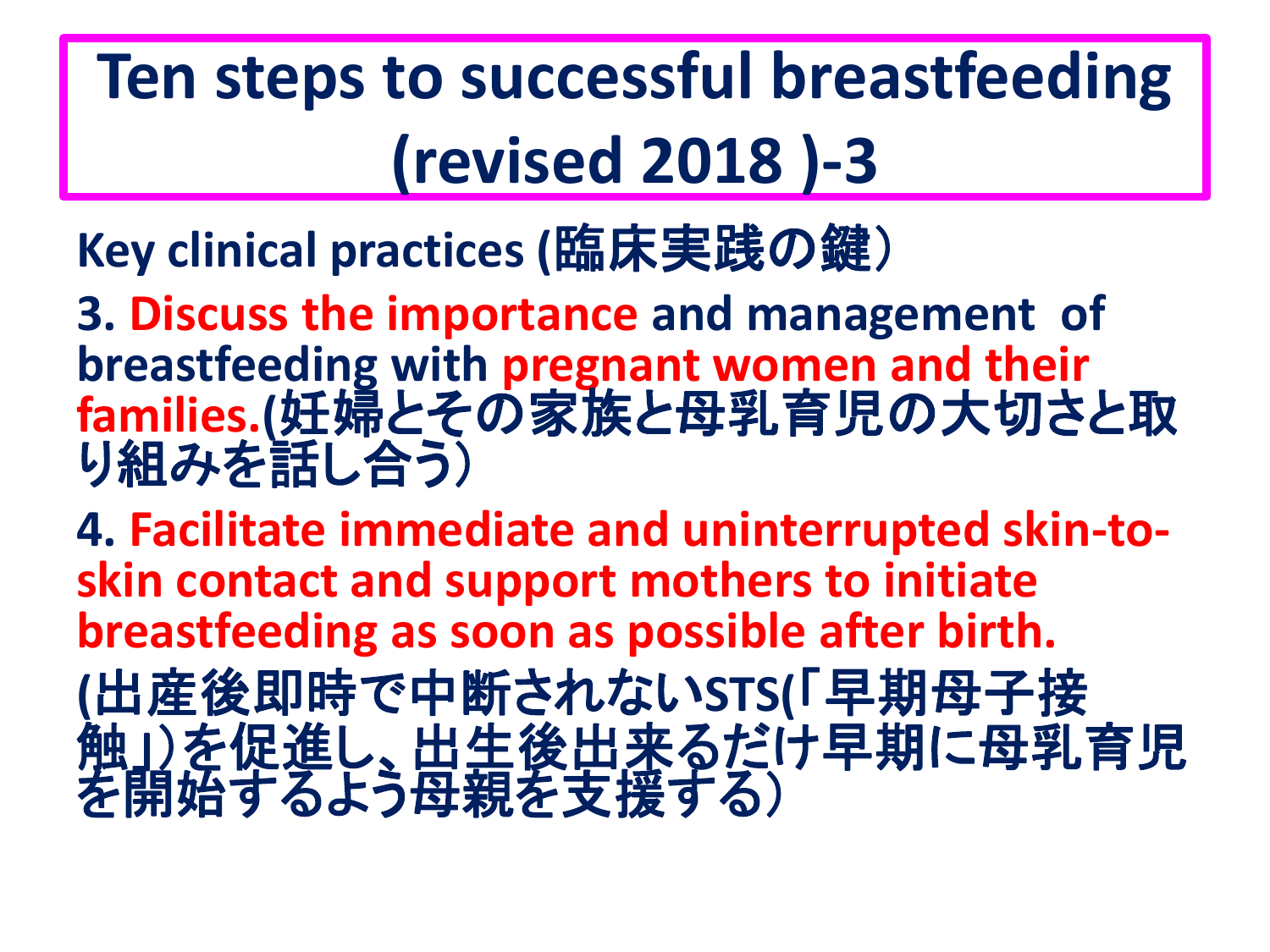**Key clinical practices (**臨床実践の鍵)

**3. Discuss the importance and management of breastfeeding with pregnant women and their families.(**妊婦とその家族と母乳育児の大切さと取 り組みを話し合う)

**4. Facilitate immediate and uninterrupted skin-toskin contact and support mothers to initiate breastfeeding as soon as possible after birth. (**出産後即時で中断されない**STS(**「早期母子接 触」)を促進し、出生後出来るだけ早期に母乳育児 を開始するよう母親を支援する)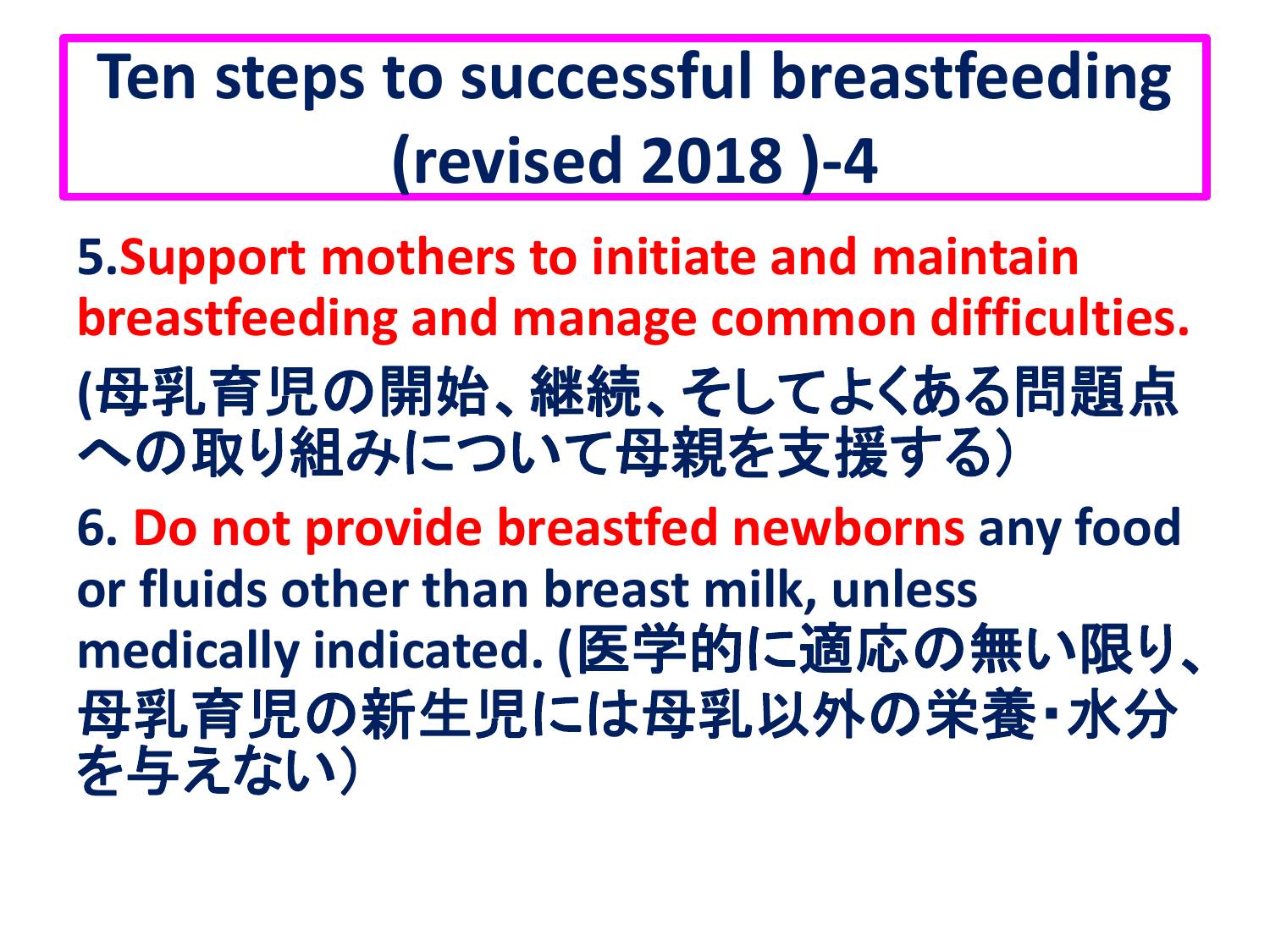**5.Support mothers to initiate and maintain breastfeeding and manage common difficulties. (**母乳育児の開始、継続、そしてよくある問題点 への取り組みについて母親を支援する)

**6. Do not provide breastfed newborns any food or fluids other than breast milk, unless medically indicated. (**医学的に適応の無い限り、 母乳育児の新生児には母乳以外の栄養・水分 を与えない)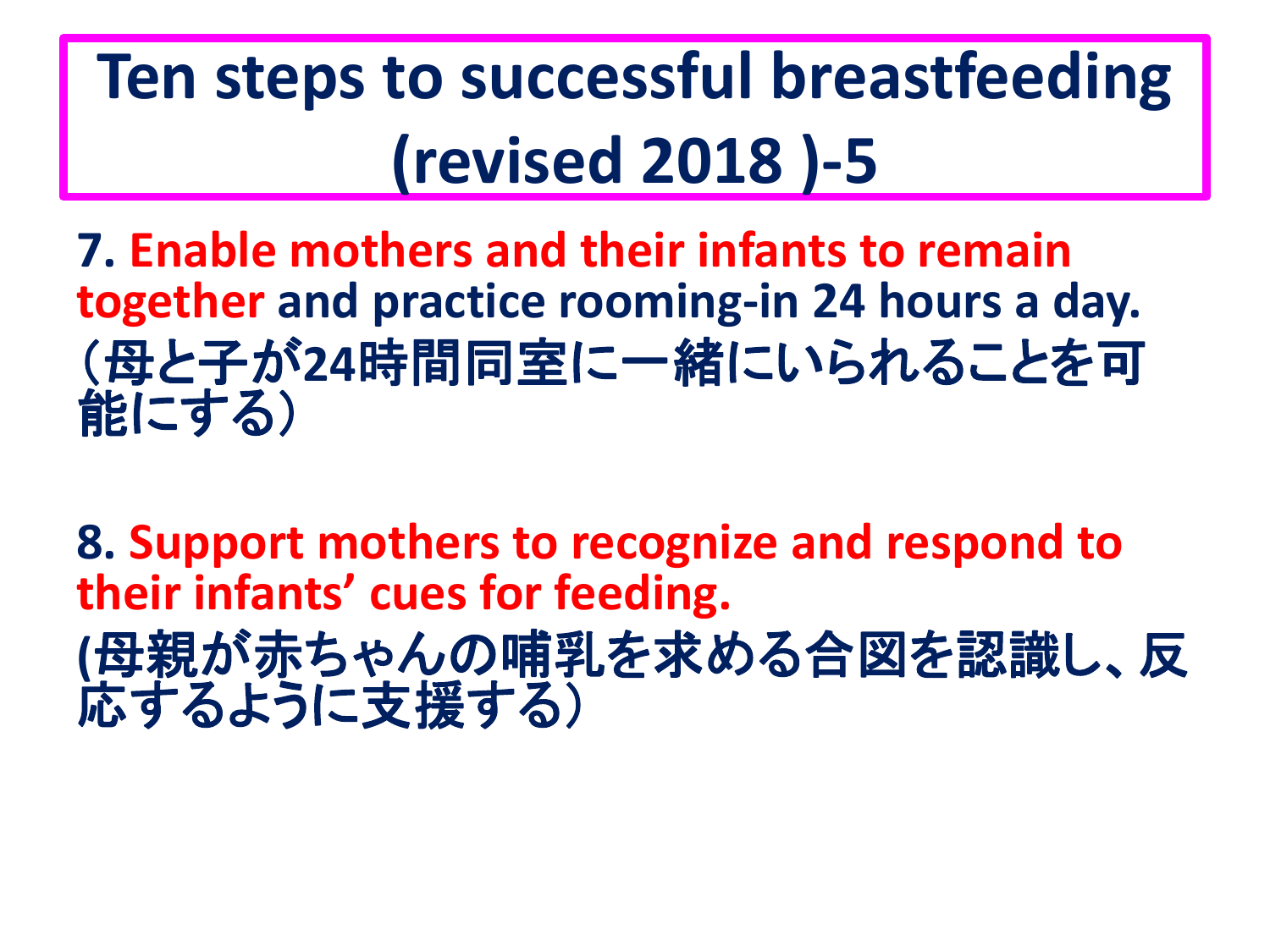**7. Enable mothers and their infants to remain together and practice rooming-in 24 hours a day.** (母と子が**24**時間同室に一緒にいられることを可 能にする)

**8. Support mothers to recognize and respond to their infants' cues for feeding. (**母親が赤ちゃんの哺乳を求める合図を認識し、反 応するように支援する)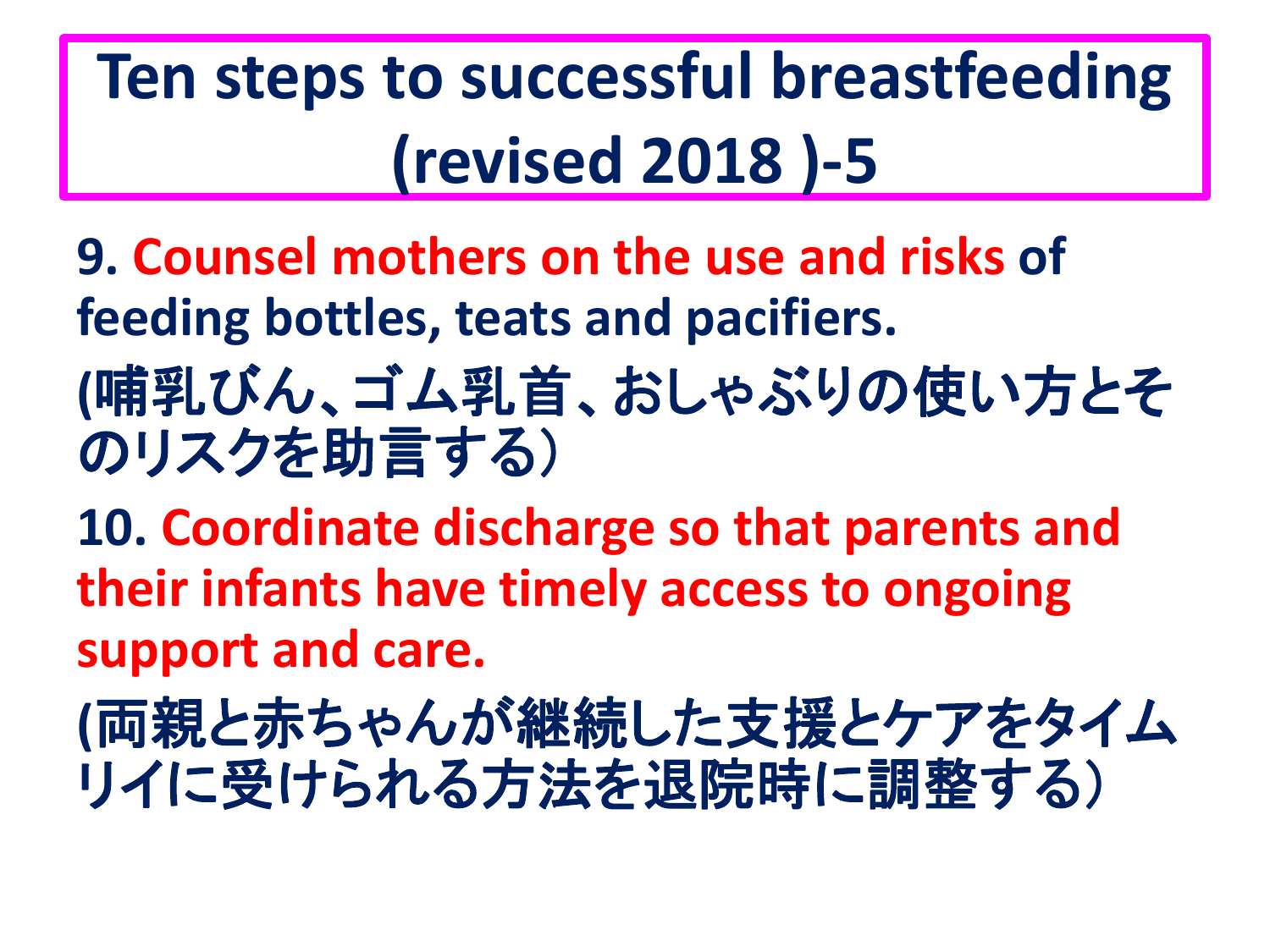**9. Counsel mothers on the use and risks of feeding bottles, teats and pacifiers. (**哺乳びん、ゴム乳首、おしゃぶりの使い方とそ

のリスクを助言する)

**10. Coordinate discharge so that parents and their infants have timely access to ongoing support and care.**

**(**両親と赤ちゃんが継続した支援とケアをタイム リイに受けられる方法を退院時に調整する)